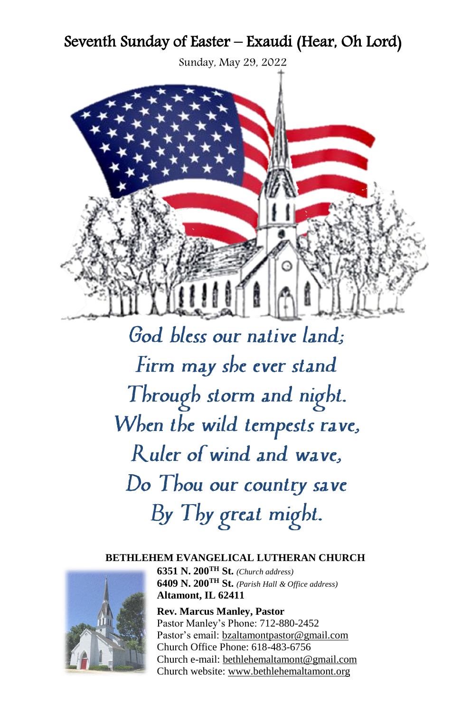# Seventh Sunday of Easter – Exaudi (Hear, Oh Lord)

Sunday, May 29, 2022



God bless our native land; Firm may she ever stand Through storm and night. When the wild tempests rave, Ruler of wind and wave. Do Thou our country save By Thy great might.

#### **BETHLEHEM EVANGELICAL LUTHERAN CHURCH**



**6351 N. 200TH St.** *(Church address)* **6409 N. 200TH St.** *(Parish Hall & Office address)* **Altamont, IL 62411**

**Rev. Marcus Manley, Pastor** Pastor Manley's Phone: 712-880-2452 Pastor's email: [bzaltamontpastor@gmail.com](mailto:bzaltamontpastor@gmail.com) Church Office Phone: 618-483-6756 Church e-mail[: bethlehemaltamont@gmail.com](mailto:bethlehemaltamont@gmail.com) Church website: [www.bethlehemaltamont.org](http://www.bethlehemaltamont.org/)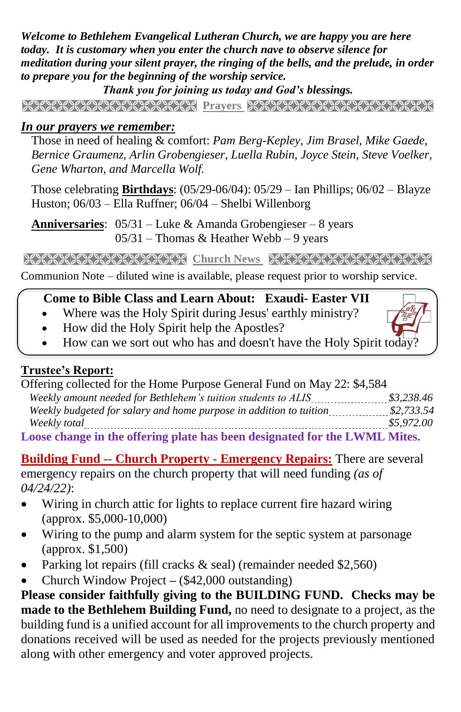*Welcome to Bethlehem Evangelical Lutheran Church, we are happy you are here today. It is customary when you enter the church nave to observe silence for meditation during your silent prayer, the ringing of the bells, and the prelude, in order to prepare you for the beginning of the worship service.* 

*Thank you for joining us today and God's blessings.*

**PRAYERS AND PROFIT CONTROLLED AND AND ALL CONTROLLED AND ALL CONTROL CONTROL OF A STATE OF A STATE OF A STATE** 

### *In our prayers we remember:*

 Those in need of healing & comfort: *Pam Berg-Kepley, Jim Brasel, Mike Gaede, Bernice Graumenz, Arlin Grobengieser, Luella Rubin, Joyce Stein, Steve Voelker, Gene Wharton, and Marcella Wolf.*

Those celebrating **Birthdays**: (05/29-06/04): 05/29 – Ian Phillips; 06/02 – Blayze Huston; 06/03 – Ella Ruffner; 06/04 – Shelbi Willenborg

**Anniversaries**: 05/31 – Luke & Amanda Grobengieser – 8 years  $05/31$  – Thomas & Heather Webb – 9 years

**Church News Strate Strate Strate Strate Strate Strate Strate Strategy Community Church Strategy Strategy Strategy** 

Communion Note – diluted wine is available, please request prior to worship service. 

#### **Come to Bible Class and Learn About: Exaudi- Easter VII**

- Where was the Holy Spirit during Jesus' earthly ministry?
- How did the Holy Spirit help the Apostles?
- How can we sort out who has and doesn't have the Holy Spirit today?

#### **Trustee's Report:**

| Offering collected for the Home Purpose General Fund on May 22: \$4,584    |            |
|----------------------------------------------------------------------------|------------|
|                                                                            | \$3.238.46 |
| Weekly budgeted for salary and home purpose in addition to tuition         | \$2,733.54 |
| Weekly total                                                               | \$5,972,00 |
| Loose change in the offering plate has been designated for the LWML Mites. |            |

**Building Fund -- Church Property - Emergency Repairs:** There are several emergency repairs on the church property that will need funding *(as of 04/24/22)*:

- Wiring in church attic for lights to replace current fire hazard wiring (approx. \$5,000-10,000)
- Wiring to the pump and alarm system for the septic system at parsonage (approx. \$1,500)
- Parking lot repairs (fill cracks  $\&$  seal) (remainder needed \$2,560)
- Church Window Project **–** (\$42,000 outstanding)

**Please consider faithfully giving to the BUILDING FUND. Checks may be made to the Bethlehem Building Fund,** no need to designate to a project, as the building fund is a unified account for all improvements to the church property and donations received will be used as needed for the projects previously mentioned along with other emergency and voter approved projects.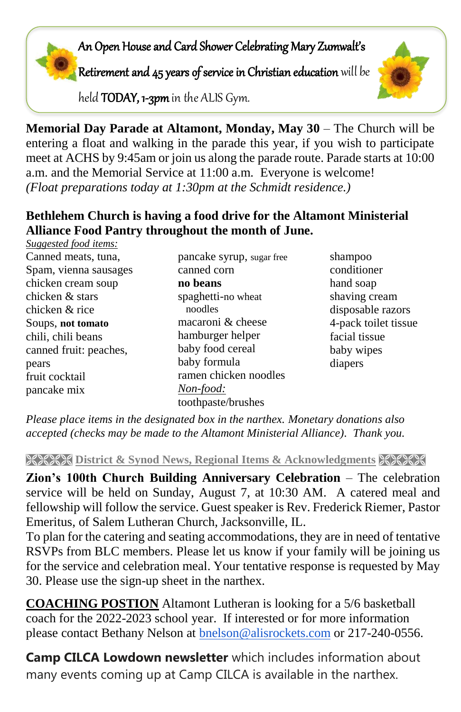# An Open House and Card Shower Celebrating Mary Zumwalt's

Retirement and 45 years of service in Christian education will be

held TODAY, 1-3pm in the ALIS Gym.



### **Bethlehem Church is having a food drive for the Altamont Ministerial Alliance Food Pantry throughout the month of June.**

| Suggested food items:  |                           |                      |
|------------------------|---------------------------|----------------------|
| Canned meats, tuna,    | pancake syrup, sugar free | shampoo              |
| Spam, vienna sausages  | canned corn               | conditioner          |
| chicken cream soup     | no beans                  | hand soap            |
| chicken & stars        | spaghetti-no wheat        | shaving cream        |
| chicken & rice         | noodles                   | disposable razors    |
| Soups, not tomato      | macaroni & cheese         | 4-pack toilet tissue |
| chili, chili beans     | hamburger helper          | facial tissue        |
| canned fruit: peaches, | baby food cereal          | baby wipes           |
| pears                  | baby formula              | diapers              |
| fruit cocktail         | ramen chicken noodles     |                      |
| pancake mix            | Non-food:                 |                      |
|                        | toothpaste/brushes        |                      |

*Please place items in the designated box in the narthex. Monetary donations also accepted (checks may be made to the Altamont Ministerial Alliance). Thank you.*

**REEX District & Synod News, Regional Items & Acknowledgments HEEX** 

**Zion's 100th Church Building Anniversary Celebration** – The celebration service will be held on Sunday, August 7, at 10:30 AM. A catered meal and fellowship will follow the service. Guest speaker is Rev. Frederick Riemer, Pastor Emeritus, of Salem Lutheran Church, Jacksonville, IL.

To plan for the catering and seating accommodations, they are in need of tentative RSVPs from BLC members. Please let us know if your family will be joining us for the service and celebration meal. Your tentative response is requested by May 30. Please use the sign-up sheet in the narthex.

**COACHING POSTION** Altamont Lutheran is looking for a 5/6 basketball coach for the 2022-2023 school year. If interested or for more information please contact Bethany Nelson at [bnelson@alisrockets.com](mailto:bnelson@alisrockets.com) or 217-240-0556.

**Camp CILCA Lowdown newsletter** which includes information about many events coming up at Camp CILCA is available in the narthex.